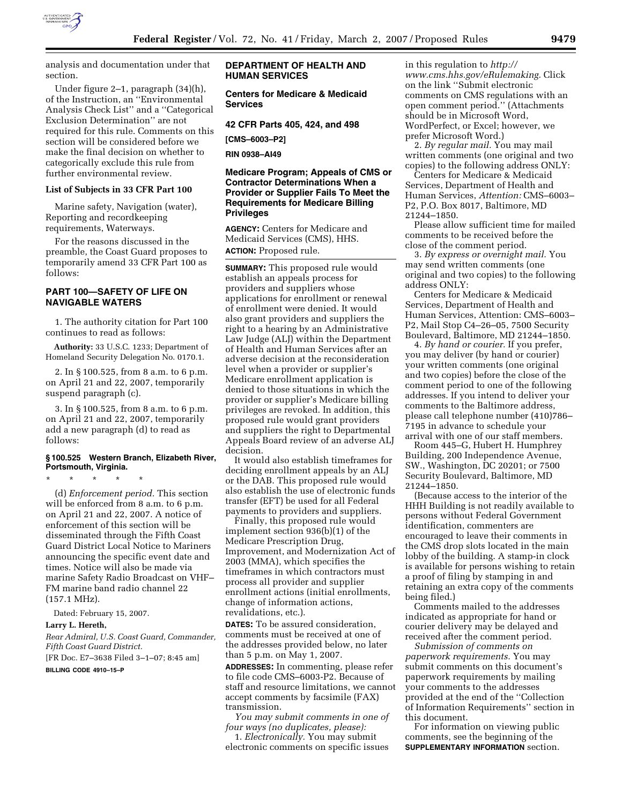

analysis and documentation under that section.

Under figure 2–1, paragraph (34)(h), of the Instruction, an ''Environmental Analysis Check List'' and a ''Categorical Exclusion Determination'' are not required for this rule. Comments on this section will be considered before we make the final decision on whether to categorically exclude this rule from further environmental review.

## **List of Subjects in 33 CFR Part 100**

Marine safety, Navigation (water), Reporting and recordkeeping requirements, Waterways.

For the reasons discussed in the preamble, the Coast Guard proposes to temporarily amend 33 CFR Part 100 as follows:

## **PART 100—SAFETY OF LIFE ON NAVIGABLE WATERS**

1. The authority citation for Part 100 continues to read as follows:

**Authority:** 33 U.S.C. 1233; Department of Homeland Security Delegation No. 0170.1.

2. In § 100.525, from 8 a.m. to 6 p.m. on April 21 and 22, 2007, temporarily suspend paragraph (c).

3. In § 100.525, from 8 a.m. to 6 p.m. on April 21 and 22, 2007, temporarily add a new paragraph (d) to read as follows:

## **§ 100.525 Western Branch, Elizabeth River, Portsmouth, Virginia.**

\* \* \* \* \*

(d) *Enforcement period.* This section will be enforced from 8 a.m. to 6 p.m. on April 21 and 22, 2007. A notice of enforcement of this section will be disseminated through the Fifth Coast Guard District Local Notice to Mariners announcing the specific event date and times. Notice will also be made via marine Safety Radio Broadcast on VHF– FM marine band radio channel 22 (157.1 MHz).

Dated: February 15, 2007.

#### **Larry L. Hereth,**

*Rear Admiral, U.S. Coast Guard, Commander, Fifth Coast Guard District.* 

[FR Doc. E7–3638 Filed 3–1–07; 8:45 am] **BILLING CODE 4910–15–P** 

## **DEPARTMENT OF HEALTH AND HUMAN SERVICES**

**Centers for Medicare & Medicaid Services** 

**42 CFR Parts 405, 424, and 498** 

**[CMS–6003–P2]** 

**RIN 0938–AI49** 

## **Medicare Program; Appeals of CMS or Contractor Determinations When a Provider or Supplier Fails To Meet the Requirements for Medicare Billing Privileges**

**AGENCY:** Centers for Medicare and Medicaid Services (CMS), HHS. **ACTION:** Proposed rule.

**SUMMARY:** This proposed rule would establish an appeals process for providers and suppliers whose applications for enrollment or renewal of enrollment were denied. It would also grant providers and suppliers the right to a hearing by an Administrative Law Judge (ALJ) within the Department of Health and Human Services after an adverse decision at the reconsideration level when a provider or supplier's Medicare enrollment application is denied to those situations in which the provider or supplier's Medicare billing privileges are revoked. In addition, this proposed rule would grant providers and suppliers the right to Departmental Appeals Board review of an adverse ALJ decision.

It would also establish timeframes for deciding enrollment appeals by an ALJ or the DAB. This proposed rule would also establish the use of electronic funds transfer (EFT) be used for all Federal payments to providers and suppliers.

Finally, this proposed rule would implement section 936(b)(1) of the Medicare Prescription Drug, Improvement, and Modernization Act of 2003 (MMA), which specifies the timeframes in which contractors must process all provider and supplier enrollment actions (initial enrollments, change of information actions, revalidations, etc.).

**DATES:** To be assured consideration, comments must be received at one of the addresses provided below, no later than 5 p.m. on May 1, 2007.

**ADDRESSES:** In commenting, please refer to file code CMS–6003-P2. Because of staff and resource limitations, we cannot accept comments by facsimile (FAX) transmission.

*You may submit comments in one of four ways (no duplicates, please):* 

1. *Electronically.* You may submit electronic comments on specific issues in this regulation to *http:// www.cms.hhs.gov/eRulemaking.* Click on the link ''Submit electronic comments on CMS regulations with an open comment period.'' (Attachments should be in Microsoft Word, WordPerfect, or Excel; however, we prefer Microsoft Word.)

2. *By regular mail.* You may mail written comments (one original and two copies) to the following address ONLY:

Centers for Medicare & Medicaid Services, Department of Health and Human Services, *Attention:* CMS–6003– P2, P.O. Box 8017, Baltimore, MD 21244–1850.

Please allow sufficient time for mailed comments to be received before the close of the comment period.

3. *By express or overnight mail.* You may send written comments (one original and two copies) to the following address ONLY:

Centers for Medicare & Medicaid Services, Department of Health and Human Services, Attention: CMS–6003– P2, Mail Stop C4–26–05, 7500 Security Boulevard, Baltimore, MD 21244–1850.

4. *By hand or courier.* If you prefer, you may deliver (by hand or courier) your written comments (one original and two copies) before the close of the comment period to one of the following addresses. If you intend to deliver your comments to the Baltimore address, please call telephone number (410)786– 7195 in advance to schedule your arrival with one of our staff members.

Room 445–G, Hubert H. Humphrey Building, 200 Independence Avenue, SW., Washington, DC 20201; or 7500 Security Boulevard, Baltimore, MD 21244–1850.

(Because access to the interior of the HHH Building is not readily available to persons without Federal Government identification, commenters are encouraged to leave their comments in the CMS drop slots located in the main lobby of the building. A stamp-in clock is available for persons wishing to retain a proof of filing by stamping in and retaining an extra copy of the comments being filed.)

Comments mailed to the addresses indicated as appropriate for hand or courier delivery may be delayed and received after the comment period.

*Submission of comments on paperwork requirements.* You may submit comments on this document's paperwork requirements by mailing your comments to the addresses provided at the end of the ''Collection of Information Requirements'' section in this document.

For information on viewing public comments, see the beginning of the **SUPPLEMENTARY INFORMATION** section.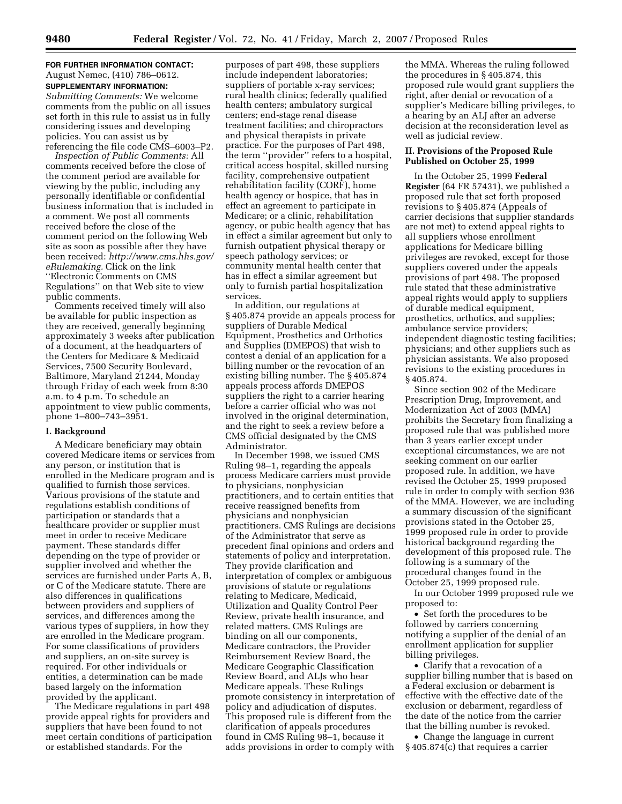## **FOR FURTHER INFORMATION CONTACT:**  August Nemec, (410) 786–0612. **SUPPLEMENTARY INFORMATION:**

*Submitting Comments:* We welcome comments from the public on all issues set forth in this rule to assist us in fully considering issues and developing policies. You can assist us by referencing the file code CMS–6003–P2.

*Inspection of Public Comments:* All comments received before the close of the comment period are available for viewing by the public, including any personally identifiable or confidential business information that is included in a comment. We post all comments received before the close of the comment period on the following Web site as soon as possible after they have been received: *http://www.cms.hhs.gov/ eRulemaking.* Click on the link ''Electronic Comments on CMS Regulations'' on that Web site to view public comments.

Comments received timely will also be available for public inspection as they are received, generally beginning approximately 3 weeks after publication of a document, at the headquarters of the Centers for Medicare & Medicaid Services, 7500 Security Boulevard, Baltimore, Maryland 21244, Monday through Friday of each week from 8:30 a.m. to 4 p.m. To schedule an appointment to view public comments, phone 1–800–743–3951.

### **I. Background**

A Medicare beneficiary may obtain covered Medicare items or services from any person, or institution that is enrolled in the Medicare program and is qualified to furnish those services. Various provisions of the statute and regulations establish conditions of participation or standards that a healthcare provider or supplier must meet in order to receive Medicare payment. These standards differ depending on the type of provider or supplier involved and whether the services are furnished under Parts A, B, or C of the Medicare statute. There are also differences in qualifications between providers and suppliers of services, and differences among the various types of suppliers, in how they are enrolled in the Medicare program. For some classifications of providers and suppliers, an on-site survey is required. For other individuals or entities, a determination can be made based largely on the information provided by the applicant.

The Medicare regulations in part 498 provide appeal rights for providers and suppliers that have been found to not meet certain conditions of participation or established standards. For the

purposes of part 498, these suppliers include independent laboratories; suppliers of portable x-ray services; rural health clinics; federally qualified health centers; ambulatory surgical centers; end-stage renal disease treatment facilities; and chiropractors and physical therapists in private practice. For the purposes of Part 498, the term ''provider'' refers to a hospital, critical access hospital, skilled nursing facility, comprehensive outpatient rehabilitation facility (CORF), home health agency or hospice, that has in effect an agreement to participate in Medicare; or a clinic, rehabilitation agency, or pubic health agency that has in effect a similar agreement but only to furnish outpatient physical therapy or speech pathology services; or community mental health center that has in effect a similar agreement but only to furnish partial hospitalization services.

In addition, our regulations at § 405.874 provide an appeals process for suppliers of Durable Medical Equipment, Prosthetics and Orthotics and Supplies (DMEPOS) that wish to contest a denial of an application for a billing number or the revocation of an existing billing number. The § 405.874 appeals process affords DMEPOS suppliers the right to a carrier hearing before a carrier official who was not involved in the original determination, and the right to seek a review before a CMS official designated by the CMS Administrator.

In December 1998, we issued CMS Ruling 98–1, regarding the appeals process Medicare carriers must provide to physicians, nonphysician practitioners, and to certain entities that receive reassigned benefits from physicians and nonphysician practitioners. CMS Rulings are decisions of the Administrator that serve as precedent final opinions and orders and statements of policy and interpretation. They provide clarification and interpretation of complex or ambiguous provisions of statute or regulations relating to Medicare, Medicaid, Utilization and Quality Control Peer Review, private health insurance, and related matters. CMS Rulings are binding on all our components, Medicare contractors, the Provider Reimbursement Review Board, the Medicare Geographic Classification Review Board, and ALJs who hear Medicare appeals. These Rulings promote consistency in interpretation of policy and adjudication of disputes. This proposed rule is different from the clarification of appeals procedures found in CMS Ruling 98–1, because it adds provisions in order to comply with

the MMA. Whereas the ruling followed the procedures in § 405.874, this proposed rule would grant suppliers the right, after denial or revocation of a supplier's Medicare billing privileges, to a hearing by an ALJ after an adverse decision at the reconsideration level as well as judicial review.

## **II. Provisions of the Proposed Rule Published on October 25, 1999**

In the October 25, 1999 **Federal Register** (64 FR 57431), we published a proposed rule that set forth proposed revisions to § 405.874 (Appeals of carrier decisions that supplier standards are not met) to extend appeal rights to all suppliers whose enrollment applications for Medicare billing privileges are revoked, except for those suppliers covered under the appeals provisions of part 498. The proposed rule stated that these administrative appeal rights would apply to suppliers of durable medical equipment, prosthetics, orthotics, and supplies; ambulance service providers; independent diagnostic testing facilities; physicians; and other suppliers such as physician assistants. We also proposed revisions to the existing procedures in § 405.874.

Since section 902 of the Medicare Prescription Drug, Improvement, and Modernization Act of 2003 (MMA) prohibits the Secretary from finalizing a proposed rule that was published more than 3 years earlier except under exceptional circumstances, we are not seeking comment on our earlier proposed rule. In addition, we have revised the October 25, 1999 proposed rule in order to comply with section 936 of the MMA. However, we are including a summary discussion of the significant provisions stated in the October 25, 1999 proposed rule in order to provide historical background regarding the development of this proposed rule. The following is a summary of the procedural changes found in the October 25, 1999 proposed rule.

In our October 1999 proposed rule we proposed to:

• Set forth the procedures to be followed by carriers concerning notifying a supplier of the denial of an enrollment application for supplier billing privileges.

• Clarify that a revocation of a supplier billing number that is based on a Federal exclusion or debarment is effective with the effective date of the exclusion or debarment, regardless of the date of the notice from the carrier that the billing number is revoked.

• Change the language in current § 405.874(c) that requires a carrier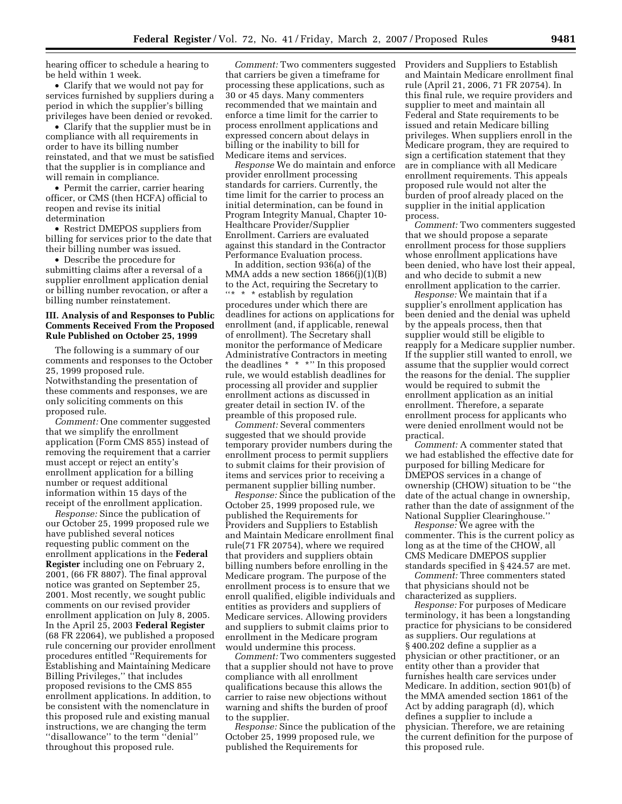hearing officer to schedule a hearing to be held within 1 week.

• Clarify that we would not pay for services furnished by suppliers during a period in which the supplier's billing privileges have been denied or revoked.

• Clarify that the supplier must be in compliance with all requirements in order to have its billing number reinstated, and that we must be satisfied that the supplier is in compliance and will remain in compliance.

• Permit the carrier, carrier hearing officer, or CMS (then HCFA) official to reopen and revise its initial determination

• Restrict DMEPOS suppliers from billing for services prior to the date that their billing number was issued.

• Describe the procedure for submitting claims after a reversal of a supplier enrollment application denial or billing number revocation, or after a billing number reinstatement.

## **III. Analysis of and Responses to Public Comments Received From the Proposed Rule Published on October 25, 1999**

The following is a summary of our comments and responses to the October 25, 1999 proposed rule. Notwithstanding the presentation of these comments and responses, we are only soliciting comments on this proposed rule.

*Comment:* One commenter suggested that we simplify the enrollment application (Form CMS 855) instead of removing the requirement that a carrier must accept or reject an entity's enrollment application for a billing number or request additional information within 15 days of the receipt of the enrollment application.

*Response:* Since the publication of our October 25, 1999 proposed rule we have published several notices requesting public comment on the enrollment applications in the **Federal Register** including one on February 2, 2001, (66 FR 8807). The final approval notice was granted on September 25, 2001. Most recently, we sought public comments on our revised provider enrollment application on July 8, 2005. In the April 25, 2003 **Federal Register**  (68 FR 22064), we published a proposed rule concerning our provider enrollment procedures entitled ''Requirements for Establishing and Maintaining Medicare Billing Privileges,'' that includes proposed revisions to the CMS 855 enrollment applications. In addition, to be consistent with the nomenclature in this proposed rule and existing manual instructions, we are changing the term ''disallowance'' to the term ''denial'' throughout this proposed rule.

*Comment:* Two commenters suggested that carriers be given a timeframe for processing these applications, such as 30 or 45 days. Many commenters recommended that we maintain and enforce a time limit for the carrier to process enrollment applications and expressed concern about delays in billing or the inability to bill for Medicare items and services.

*Response* We do maintain and enforce provider enrollment processing standards for carriers. Currently, the time limit for the carrier to process an initial determination, can be found in Program Integrity Manual, Chapter 10- Healthcare Provider/Supplier Enrollment. Carriers are evaluated against this standard in the Contractor Performance Evaluation process.

In addition, section 936(a) of the MMA adds a new section 1866(j)(1)(B) to the Act, requiring the Secretary to ''\* \* \* establish by regulation procedures under which there are deadlines for actions on applications for enrollment (and, if applicable, renewal of enrollment). The Secretary shall monitor the performance of Medicare Administrative Contractors in meeting the deadlines \* \* \*" In this proposed rule, we would establish deadlines for processing all provider and supplier enrollment actions as discussed in greater detail in section IV. of the preamble of this proposed rule.

*Comment:* Several commenters suggested that we should provide temporary provider numbers during the enrollment process to permit suppliers to submit claims for their provision of items and services prior to receiving a permanent supplier billing number.

*Response:* Since the publication of the October 25, 1999 proposed rule, we published the Requirements for Providers and Suppliers to Establish and Maintain Medicare enrollment final rule(71 FR 20754), where we required that providers and suppliers obtain billing numbers before enrolling in the Medicare program. The purpose of the enrollment process is to ensure that we enroll qualified, eligible individuals and entities as providers and suppliers of Medicare services. Allowing providers and suppliers to submit claims prior to enrollment in the Medicare program would undermine this process.

*Comment:* Two commenters suggested that a supplier should not have to prove compliance with all enrollment qualifications because this allows the carrier to raise new objections without warning and shifts the burden of proof to the supplier.

*Response:* Since the publication of the October 25, 1999 proposed rule, we published the Requirements for

Providers and Suppliers to Establish and Maintain Medicare enrollment final rule (April 21, 2006, 71 FR 20754). In this final rule, we require providers and supplier to meet and maintain all Federal and State requirements to be issued and retain Medicare billing privileges. When suppliers enroll in the Medicare program, they are required to sign a certification statement that they are in compliance with all Medicare enrollment requirements. This appeals proposed rule would not alter the burden of proof already placed on the supplier in the initial application process.

*Comment:* Two commenters suggested that we should propose a separate enrollment process for those suppliers whose enrollment applications have been denied, who have lost their appeal, and who decide to submit a new enrollment application to the carrier.

*Response:* We maintain that if a supplier's enrollment application has been denied and the denial was upheld by the appeals process, then that supplier would still be eligible to reapply for a Medicare supplier number. If the supplier still wanted to enroll, we assume that the supplier would correct the reasons for the denial. The supplier would be required to submit the enrollment application as an initial enrollment. Therefore, a separate enrollment process for applicants who were denied enrollment would not be practical.

*Comment:* A commenter stated that we had established the effective date for purposed for billing Medicare for DMEPOS services in a change of ownership (CHOW) situation to be ''the date of the actual change in ownership, rather than the date of assignment of the National Supplier Clearinghouse.''

*Response:* We agree with the commenter. This is the current policy as long as at the time of the CHOW, all CMS Medicare DMEPOS supplier standards specified in § 424.57 are met.

*Comment:* Three commenters stated that physicians should not be characterized as suppliers.

*Response:* For purposes of Medicare terminology, it has been a longstanding practice for physicians to be considered as suppliers. Our regulations at § 400.202 define a supplier as a physician or other practitioner, or an entity other than a provider that furnishes health care services under Medicare. In addition, section 901(b) of the MMA amended section 1861 of the Act by adding paragraph (d), which defines a supplier to include a physician. Therefore, we are retaining the current definition for the purpose of this proposed rule.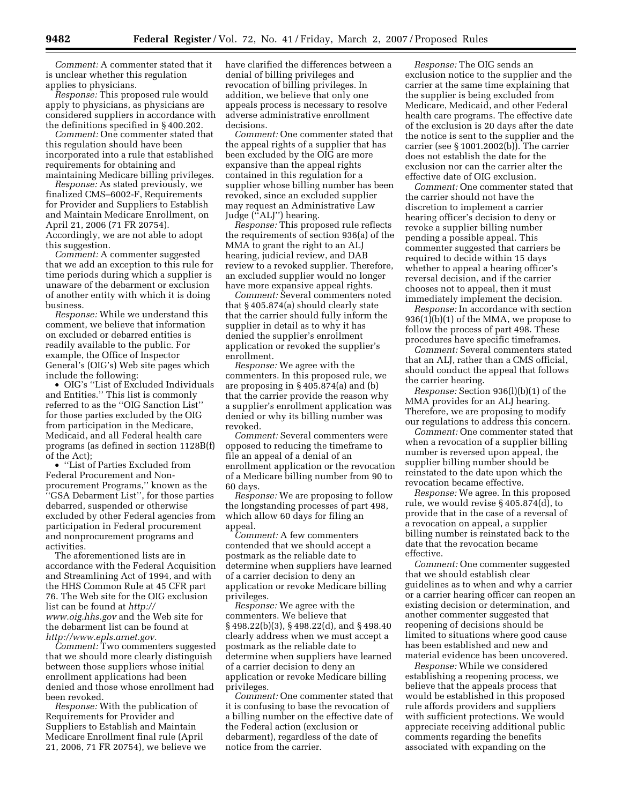*Comment:* A commenter stated that it is unclear whether this regulation applies to physicians.

*Response:* This proposed rule would apply to physicians, as physicians are considered suppliers in accordance with the definitions specified in § 400.202.

*Comment:* One commenter stated that this regulation should have been incorporated into a rule that established requirements for obtaining and maintaining Medicare billing privileges.

*Response:* As stated previously, we finalized CMS–6002-F, Requirements for Provider and Suppliers to Establish and Maintain Medicare Enrollment, on April 21, 2006 (71 FR 20754). Accordingly, we are not able to adopt this suggestion.

*Comment:* A commenter suggested that we add an exception to this rule for time periods during which a supplier is unaware of the debarment or exclusion of another entity with which it is doing business.

*Response:* While we understand this comment, we believe that information on excluded or debarred entities is readily available to the public. For example, the Office of Inspector General's (OIG's) Web site pages which include the following:

• OIG's ''List of Excluded Individuals and Entities.'' This list is commonly referred to as the ''OIG Sanction List'' for those parties excluded by the OIG from participation in the Medicare, Medicaid, and all Federal health care programs (as defined in section 1128B(f) of the Act);

• ''List of Parties Excluded from Federal Procurement and Nonprocurement Programs,'' known as the ''GSA Debarment List'', for those parties debarred, suspended or otherwise excluded by other Federal agencies from participation in Federal procurement and nonprocurement programs and activities.

The aforementioned lists are in accordance with the Federal Acquisition and Streamlining Act of 1994, and with the HHS Common Rule at 45 CFR part 76. The Web site for the OIG exclusion list can be found at *http:// www.oig.hhs.gov* and the Web site for the debarment list can be found at *http://www.epls.arnet.gov.* 

*Comment:* Two commenters suggested that we should more clearly distinguish between those suppliers whose initial enrollment applications had been denied and those whose enrollment had been revoked.

*Response:* With the publication of Requirements for Provider and Suppliers to Establish and Maintain Medicare Enrollment final rule (April 21, 2006, 71 FR 20754), we believe we have clarified the differences between a denial of billing privileges and revocation of billing privileges. In addition, we believe that only one appeals process is necessary to resolve adverse administrative enrollment decisions.

*Comment:* One commenter stated that the appeal rights of a supplier that has been excluded by the OIG are more expansive than the appeal rights contained in this regulation for a supplier whose billing number has been revoked, since an excluded supplier may request an Administrative Law Judge (''ALJ'') hearing.

*Response:* This proposed rule reflects the requirements of section 936(a) of the MMA to grant the right to an ALJ hearing, judicial review, and DAB review to a revoked supplier. Therefore, an excluded supplier would no longer have more expansive appeal rights.

*Comment:* Several commenters noted that § 405.874(a) should clearly state that the carrier should fully inform the supplier in detail as to why it has denied the supplier's enrollment application or revoked the supplier's enrollment.

*Response:* We agree with the commenters. In this proposed rule, we are proposing in § 405.874(a) and (b) that the carrier provide the reason why a supplier's enrollment application was denied or why its billing number was revoked.

*Comment:* Several commenters were opposed to reducing the timeframe to file an appeal of a denial of an enrollment application or the revocation of a Medicare billing number from 90 to 60 days.

*Response:* We are proposing to follow the longstanding processes of part 498, which allow 60 days for filing an appeal.

*Comment:* A few commenters contended that we should accept a postmark as the reliable date to determine when suppliers have learned of a carrier decision to deny an application or revoke Medicare billing privileges.

*Response:* We agree with the commenters. We believe that § 498.22(b)(3), § 498.22(d), and § 498.40 clearly address when we must accept a postmark as the reliable date to determine when suppliers have learned of a carrier decision to deny an application or revoke Medicare billing privileges.

*Comment:* One commenter stated that it is confusing to base the revocation of a billing number on the effective date of the Federal action (exclusion or debarment), regardless of the date of notice from the carrier.

*Response:* The OIG sends an exclusion notice to the supplier and the carrier at the same time explaining that the supplier is being excluded from Medicare, Medicaid, and other Federal health care programs. The effective date of the exclusion is 20 days after the date the notice is sent to the supplier and the carrier (see § 1001.2002(b)). The carrier does not establish the date for the exclusion nor can the carrier alter the effective date of OIG exclusion.

*Comment:* One commenter stated that the carrier should not have the discretion to implement a carrier hearing officer's decision to deny or revoke a supplier billing number pending a possible appeal. This commenter suggested that carriers be required to decide within 15 days whether to appeal a hearing officer's reversal decision, and if the carrier chooses not to appeal, then it must immediately implement the decision.

*Response:* In accordance with section 936(1)(b)(1) of the MMA, we propose to follow the process of part 498. These procedures have specific timeframes.

*Comment:* Several commenters stated that an ALJ, rather than a CMS official, should conduct the appeal that follows the carrier hearing.

*Response:* Section 936(l)(b)(1) of the MMA provides for an ALJ hearing. Therefore, we are proposing to modify our regulations to address this concern.

*Comment:* One commenter stated that when a revocation of a supplier billing number is reversed upon appeal, the supplier billing number should be reinstated to the date upon which the revocation became effective.

*Response:* We agree. In this proposed rule, we would revise § 405.874(d), to provide that in the case of a reversal of a revocation on appeal, a supplier billing number is reinstated back to the date that the revocation became effective.

*Comment:* One commenter suggested that we should establish clear guidelines as to when and why a carrier or a carrier hearing officer can reopen an existing decision or determination, and another commenter suggested that reopening of decisions should be limited to situations where good cause has been established and new and material evidence has been uncovered.

*Response:* While we considered establishing a reopening process, we believe that the appeals process that would be established in this proposed rule affords providers and suppliers with sufficient protections. We would appreciate receiving additional public comments regarding the benefits associated with expanding on the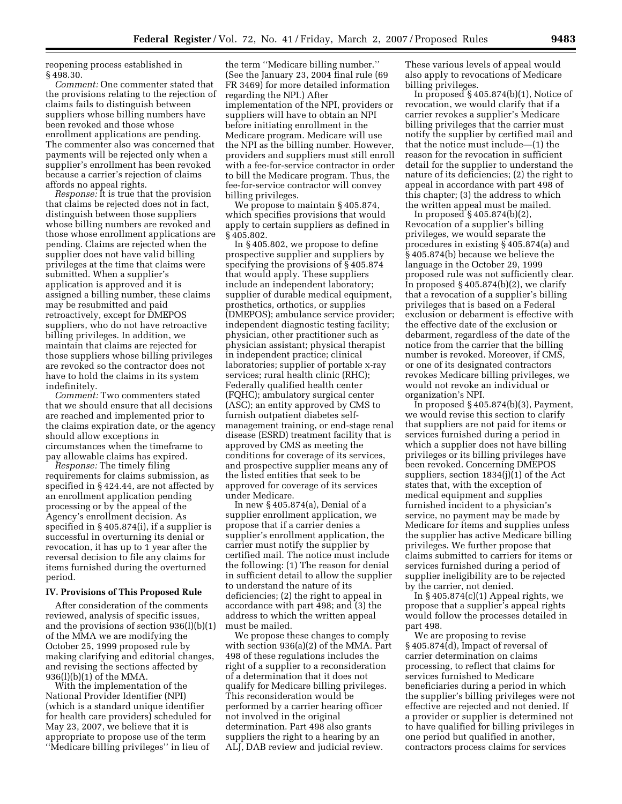reopening process established in § 498.30.

*Comment:* One commenter stated that the provisions relating to the rejection of claims fails to distinguish between suppliers whose billing numbers have been revoked and those whose enrollment applications are pending. The commenter also was concerned that payments will be rejected only when a supplier's enrollment has been revoked because a carrier's rejection of claims affords no appeal rights.

*Response:* It is true that the provision that claims be rejected does not in fact, distinguish between those suppliers whose billing numbers are revoked and those whose enrollment applications are pending. Claims are rejected when the supplier does not have valid billing privileges at the time that claims were submitted. When a supplier's application is approved and it is assigned a billing number, these claims may be resubmitted and paid retroactively, except for DMEPOS suppliers, who do not have retroactive billing privileges. In addition, we maintain that claims are rejected for those suppliers whose billing privileges are revoked so the contractor does not have to hold the claims in its system indefinitely.

*Comment:* Two commenters stated that we should ensure that all decisions are reached and implemented prior to the claims expiration date, or the agency should allow exceptions in circumstances when the timeframe to pay allowable claims has expired.

*Response:* The timely filing requirements for claims submission, as specified in § 424.44, are not affected by an enrollment application pending processing or by the appeal of the Agency's enrollment decision. As specified in § 405.874(i), if a supplier is successful in overturning its denial or revocation, it has up to 1 year after the reversal decision to file any claims for items furnished during the overturned period.

### **IV. Provisions of This Proposed Rule**

After consideration of the comments reviewed, analysis of specific issues, and the provisions of section 936(l)(b)(1) of the MMA we are modifying the October 25, 1999 proposed rule by making clarifying and editorial changes, and revising the sections affected by 936(l)(b)(1) of the MMA.

With the implementation of the National Provider Identifier (NPI) (which is a standard unique identifier for health care providers) scheduled for May 23, 2007, we believe that it is appropriate to propose use of the term ''Medicare billing privileges'' in lieu of

the term ''Medicare billing number.'' (See the January 23, 2004 final rule (69 FR 3469) for more detailed information regarding the NPI.) After implementation of the NPI, providers or suppliers will have to obtain an NPI before initiating enrollment in the Medicare program. Medicare will use the NPI as the billing number. However, providers and suppliers must still enroll with a fee-for-service contractor in order to bill the Medicare program. Thus, the fee-for-service contractor will convey billing privileges.

We propose to maintain § 405.874, which specifies provisions that would apply to certain suppliers as defined in § 405.802.

In § 405.802, we propose to define prospective supplier and suppliers by specifying the provisions of § 405.874 that would apply. These suppliers include an independent laboratory; supplier of durable medical equipment, prosthetics, orthotics, or supplies (DMEPOS); ambulance service provider; independent diagnostic testing facility; physician, other practitioner such as physician assistant; physical therapist in independent practice; clinical laboratories; supplier of portable x-ray services; rural health clinic (RHC); Federally qualified health center (FQHC); ambulatory surgical center (ASC); an entity approved by CMS to furnish outpatient diabetes selfmanagement training, or end-stage renal disease (ESRD) treatment facility that is approved by CMS as meeting the conditions for coverage of its services, and prospective supplier means any of the listed entities that seek to be approved for coverage of its services under Medicare.

In new § 405.874(a), Denial of a supplier enrollment application, we propose that if a carrier denies a supplier's enrollment application, the carrier must notify the supplier by certified mail. The notice must include the following: (1) The reason for denial in sufficient detail to allow the supplier to understand the nature of its deficiencies; (2) the right to appeal in accordance with part 498; and (3) the address to which the written appeal must be mailed.

We propose these changes to comply with section 936(a)(2) of the MMA. Part 498 of these regulations includes the right of a supplier to a reconsideration of a determination that it does not qualify for Medicare billing privileges. This reconsideration would be performed by a carrier hearing officer not involved in the original determination. Part 498 also grants suppliers the right to a hearing by an ALJ, DAB review and judicial review.

These various levels of appeal would also apply to revocations of Medicare billing privileges.

In proposed § 405.874(b)(1), Notice of revocation, we would clarify that if a carrier revokes a supplier's Medicare billing privileges that the carrier must notify the supplier by certified mail and that the notice must include—(1) the reason for the revocation in sufficient detail for the supplier to understand the nature of its deficiencies; (2) the right to appeal in accordance with part 498 of this chapter; (3) the address to which the written appeal must be mailed.

In proposed § 405.874(b)(2), Revocation of a supplier's billing privileges, we would separate the procedures in existing § 405.874(a) and § 405.874(b) because we believe the language in the October 29, 1999 proposed rule was not sufficiently clear. In proposed § 405.874(b)(2), we clarify that a revocation of a supplier's billing privileges that is based on a Federal exclusion or debarment is effective with the effective date of the exclusion or debarment, regardless of the date of the notice from the carrier that the billing number is revoked. Moreover, if CMS, or one of its designated contractors revokes Medicare billing privileges, we would not revoke an individual or organization's NPI.

In proposed  $§$  405.874(b)(3), Payment, we would revise this section to clarify that suppliers are not paid for items or services furnished during a period in which a supplier does not have billing privileges or its billing privileges have been revoked. Concerning DMEPOS suppliers, section 1834(j)(1) of the Act states that, with the exception of medical equipment and supplies furnished incident to a physician's service, no payment may be made by Medicare for items and supplies unless the supplier has active Medicare billing privileges. We further propose that claims submitted to carriers for items or services furnished during a period of supplier ineligibility are to be rejected by the carrier, not denied.

In  $§$  405.874(c)(1) Appeal rights, we propose that a supplier's appeal rights would follow the processes detailed in part 498.

We are proposing to revise § 405.874(d), Impact of reversal of carrier determination on claims processing, to reflect that claims for services furnished to Medicare beneficiaries during a period in which the supplier's billing privileges were not effective are rejected and not denied. If a provider or supplier is determined not to have qualified for billing privileges in one period but qualified in another, contractors process claims for services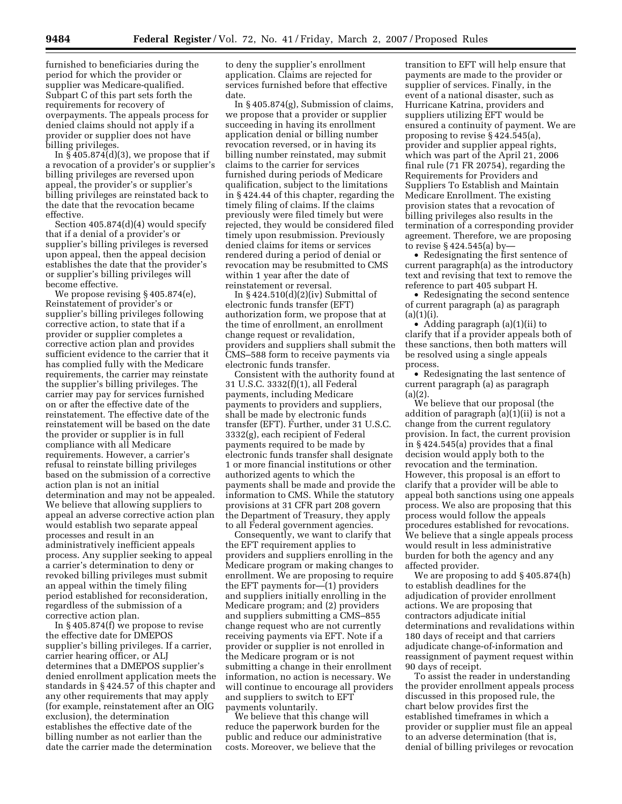furnished to beneficiaries during the period for which the provider or supplier was Medicare-qualified. Subpart C of this part sets forth the requirements for recovery of overpayments. The appeals process for denied claims should not apply if a provider or supplier does not have billing privileges.

In  $\frac{5405.874}{d}$  (d)(3), we propose that if a revocation of a provider's or supplier's billing privileges are reversed upon appeal, the provider's or supplier's billing privileges are reinstated back to the date that the revocation became effective.

Section 405.874(d)(4) would specify that if a denial of a provider's or supplier's billing privileges is reversed upon appeal, then the appeal decision establishes the date that the provider's or supplier's billing privileges will become effective.

We propose revising § 405.874(e), Reinstatement of provider's or supplier's billing privileges following corrective action, to state that if a provider or supplier completes a corrective action plan and provides sufficient evidence to the carrier that it has complied fully with the Medicare requirements, the carrier may reinstate the supplier's billing privileges. The carrier may pay for services furnished on or after the effective date of the reinstatement. The effective date of the reinstatement will be based on the date the provider or supplier is in full compliance with all Medicare requirements. However, a carrier's refusal to reinstate billing privileges based on the submission of a corrective action plan is not an initial determination and may not be appealed. We believe that allowing suppliers to appeal an adverse corrective action plan would establish two separate appeal processes and result in an administratively inefficient appeals process. Any supplier seeking to appeal a carrier's determination to deny or revoked billing privileges must submit an appeal within the timely filing period established for reconsideration, regardless of the submission of a corrective action plan.

In § 405.874(f) we propose to revise the effective date for DMEPOS supplier's billing privileges. If a carrier, carrier hearing officer, or ALJ determines that a DMEPOS supplier's denied enrollment application meets the standards in § 424.57 of this chapter and any other requirements that may apply (for example, reinstatement after an OIG exclusion), the determination establishes the effective date of the billing number as not earlier than the date the carrier made the determination

to deny the supplier's enrollment application. Claims are rejected for services furnished before that effective date.

In § 405.874(g), Submission of claims, we propose that a provider or supplier succeeding in having its enrollment application denial or billing number revocation reversed, or in having its billing number reinstated, may submit claims to the carrier for services furnished during periods of Medicare qualification, subject to the limitations in § 424.44 of this chapter, regarding the timely filing of claims. If the claims previously were filed timely but were rejected, they would be considered filed timely upon resubmission. Previously denied claims for items or services rendered during a period of denial or revocation may be resubmitted to CMS within 1 year after the date of reinstatement or reversal.

In  $\S$  424.510(d)(2)(iv) Submittal of electronic funds transfer (EFT) authorization form, we propose that at the time of enrollment, an enrollment change request or revalidation, providers and suppliers shall submit the CMS–588 form to receive payments via electronic funds transfer.

Consistent with the authority found at 31 U.S.C. 3332(f)(1), all Federal payments, including Medicare payments to providers and suppliers, shall be made by electronic funds transfer (EFT). Further, under 31 U.S.C. 3332(g), each recipient of Federal payments required to be made by electronic funds transfer shall designate 1 or more financial institutions or other authorized agents to which the payments shall be made and provide the information to CMS. While the statutory provisions at 31 CFR part 208 govern the Department of Treasury, they apply to all Federal government agencies.

Consequently, we want to clarify that the EFT requirement applies to providers and suppliers enrolling in the Medicare program or making changes to enrollment. We are proposing to require the EFT payments for—(1) providers and suppliers initially enrolling in the Medicare program; and (2) providers and suppliers submitting a CMS–855 change request who are not currently receiving payments via EFT. Note if a provider or supplier is not enrolled in the Medicare program or is not submitting a change in their enrollment information, no action is necessary. We will continue to encourage all providers and suppliers to switch to EFT payments voluntarily.

We believe that this change will reduce the paperwork burden for the public and reduce our administrative costs. Moreover, we believe that the

transition to EFT will help ensure that payments are made to the provider or supplier of services. Finally, in the event of a national disaster, such as Hurricane Katrina, providers and suppliers utilizing EFT would be ensured a continuity of payment. We are proposing to revise § 424.545(a), provider and supplier appeal rights, which was part of the April 21, 2006 final rule (71 FR 20754), regarding the Requirements for Providers and Suppliers To Establish and Maintain Medicare Enrollment. The existing provision states that a revocation of billing privileges also results in the termination of a corresponding provider agreement. Therefore, we are proposing to revise § 424.545(a) by—

• Redesignating the first sentence of current paragraph(a) as the introductory text and revising that text to remove the reference to part 405 subpart H.

• Redesignating the second sentence of current paragraph (a) as paragraph  $(a)(1)(i)$ 

• Adding paragraph (a)(1)(ii) to clarify that if a provider appeals both of these sanctions, then both matters will be resolved using a single appeals process.

• Redesignating the last sentence of current paragraph (a) as paragraph  $(a)(2)$ .

We believe that our proposal (the addition of paragraph (a)(1)(ii) is not a change from the current regulatory provision. In fact, the current provision in § 424.545(a) provides that a final decision would apply both to the revocation and the termination. However, this proposal is an effort to clarify that a provider will be able to appeal both sanctions using one appeals process. We also are proposing that this process would follow the appeals procedures established for revocations. We believe that a single appeals process would result in less administrative burden for both the agency and any affected provider.

We are proposing to add § 405.874(h) to establish deadlines for the adjudication of provider enrollment actions. We are proposing that contractors adjudicate initial determinations and revalidations within 180 days of receipt and that carriers adjudicate change-of-information and reassignment of payment request within 90 days of receipt.

To assist the reader in understanding the provider enrollment appeals process discussed in this proposed rule, the chart below provides first the established timeframes in which a provider or supplier must file an appeal to an adverse determination (that is, denial of billing privileges or revocation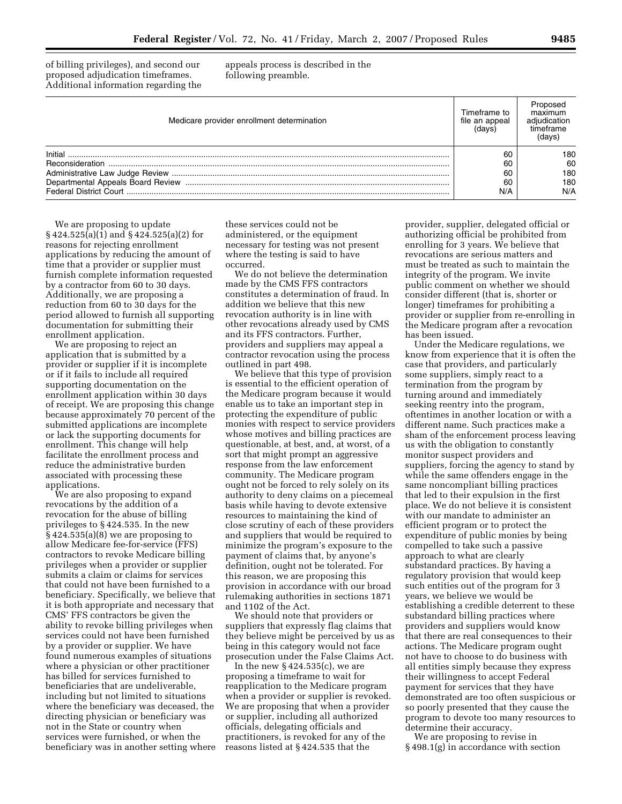of billing privileges), and second our proposed adjudication timeframes. Additional information regarding the appeals process is described in the following preamble.

| Medicare provider enrollment determination | Timeframe to<br>file an appeal<br>(davs | maximum<br>ımetrame |
|--------------------------------------------|-----------------------------------------|---------------------|
|                                            | 60                                      | 180                 |
| Reconsideration                            | 60                                      | 60                  |
|                                            | 60                                      | 180                 |
|                                            | 60                                      | 180                 |
|                                            | N/A                                     | N/A                 |

We are proposing to update § 424.525(a)(1) and § 424.525(a)(2) for reasons for rejecting enrollment applications by reducing the amount of time that a provider or supplier must furnish complete information requested by a contractor from 60 to 30 days. Additionally, we are proposing a reduction from 60 to 30 days for the period allowed to furnish all supporting documentation for submitting their enrollment application.

We are proposing to reject an application that is submitted by a provider or supplier if it is incomplete or if it fails to include all required supporting documentation on the enrollment application within 30 days of receipt. We are proposing this change because approximately 70 percent of the submitted applications are incomplete or lack the supporting documents for enrollment. This change will help facilitate the enrollment process and reduce the administrative burden associated with processing these applications.

We are also proposing to expand revocations by the addition of a revocation for the abuse of billing privileges to § 424.535. In the new  $§$  424.535(a)(8) we are proposing to allow Medicare fee-for-service (FFS) contractors to revoke Medicare billing privileges when a provider or supplier submits a claim or claims for services that could not have been furnished to a beneficiary. Specifically, we believe that it is both appropriate and necessary that CMS' FFS contractors be given the ability to revoke billing privileges when services could not have been furnished by a provider or supplier. We have found numerous examples of situations where a physician or other practitioner has billed for services furnished to beneficiaries that are undeliverable, including but not limited to situations where the beneficiary was deceased, the directing physician or beneficiary was not in the State or country when services were furnished, or when the beneficiary was in another setting where these services could not be administered, or the equipment necessary for testing was not present where the testing is said to have occurred.

We do not believe the determination made by the CMS FFS contractors constitutes a determination of fraud. In addition we believe that this new revocation authority is in line with other revocations already used by CMS and its FFS contractors. Further, providers and suppliers may appeal a contractor revocation using the process outlined in part 498.

We believe that this type of provision is essential to the efficient operation of the Medicare program because it would enable us to take an important step in protecting the expenditure of public monies with respect to service providers whose motives and billing practices are questionable, at best, and, at worst, of a sort that might prompt an aggressive response from the law enforcement community. The Medicare program ought not be forced to rely solely on its authority to deny claims on a piecemeal basis while having to devote extensive resources to maintaining the kind of close scrutiny of each of these providers and suppliers that would be required to minimize the program's exposure to the payment of claims that, by anyone's definition, ought not be tolerated. For this reason, we are proposing this provision in accordance with our broad rulemaking authorities in sections 1871 and 1102 of the Act.

We should note that providers or suppliers that expressly flag claims that they believe might be perceived by us as being in this category would not face prosecution under the False Claims Act.

In the new  $\S$  424.535(c), we are proposing a timeframe to wait for reapplication to the Medicare program when a provider or supplier is revoked. We are proposing that when a provider or supplier, including all authorized officials, delegating officials and practitioners, is revoked for any of the reasons listed at § 424.535 that the

provider, supplier, delegated official or authorizing official be prohibited from enrolling for 3 years. We believe that revocations are serious matters and must be treated as such to maintain the integrity of the program. We invite public comment on whether we should consider different (that is, shorter or longer) timeframes for prohibiting a provider or supplier from re-enrolling in the Medicare program after a revocation has been issued.

Under the Medicare regulations, we know from experience that it is often the case that providers, and particularly some suppliers, simply react to a termination from the program by turning around and immediately seeking reentry into the program, oftentimes in another location or with a different name. Such practices make a sham of the enforcement process leaving us with the obligation to constantly monitor suspect providers and suppliers, forcing the agency to stand by while the same offenders engage in the same noncompliant billing practices that led to their expulsion in the first place. We do not believe it is consistent with our mandate to administer an efficient program or to protect the expenditure of public monies by being compelled to take such a passive approach to what are clearly substandard practices. By having a regulatory provision that would keep such entities out of the program for 3 years, we believe we would be establishing a credible deterrent to these substandard billing practices where providers and suppliers would know that there are real consequences to their actions. The Medicare program ought not have to choose to do business with all entities simply because they express their willingness to accept Federal payment for services that they have demonstrated are too often suspicious or so poorly presented that they cause the program to devote too many resources to determine their accuracy.

We are proposing to revise in § 498.1(g) in accordance with section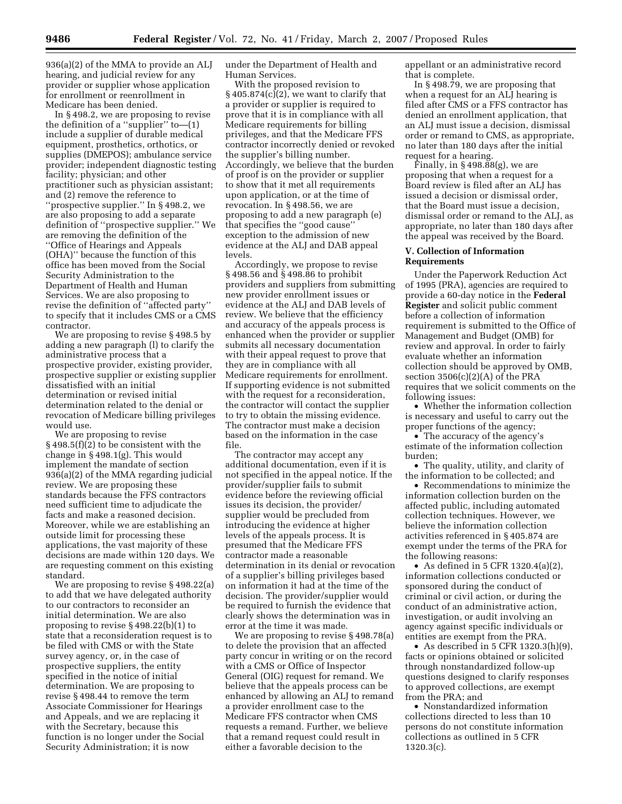936(a)(2) of the MMA to provide an ALJ hearing, and judicial review for any provider or supplier whose application for enrollment or reenrollment in Medicare has been denied.

In § 498.2, we are proposing to revise the definition of a ''supplier'' to—(1) include a supplier of durable medical equipment, prosthetics, orthotics, or supplies (DMEPOS); ambulance service provider; independent diagnostic testing facility; physician; and other practitioner such as physician assistant; and (2) remove the reference to ''prospective supplier.'' In § 498.2, we are also proposing to add a separate definition of ''prospective supplier.'' We are removing the definition of the ''Office of Hearings and Appeals (OHA)'' because the function of this office has been moved from the Social Security Administration to the Department of Health and Human Services. We are also proposing to revise the definition of ''affected party'' to specify that it includes CMS or a CMS contractor.

We are proposing to revise § 498.5 by adding a new paragraph (l) to clarify the administrative process that a prospective provider, existing provider, prospective supplier or existing supplier dissatisfied with an initial determination or revised initial determination related to the denial or revocation of Medicare billing privileges would use.

We are proposing to revise § 498.5(f)(2) to be consistent with the change in § 498.1(g). This would implement the mandate of section 936(a)(2) of the MMA regarding judicial review. We are proposing these standards because the FFS contractors need sufficient time to adjudicate the facts and make a reasoned decision. Moreover, while we are establishing an outside limit for processing these applications, the vast majority of these decisions are made within 120 days. We are requesting comment on this existing standard.

We are proposing to revise § 498.22(a) to add that we have delegated authority to our contractors to reconsider an initial determination. We are also proposing to revise § 498.22(b)(1) to state that a reconsideration request is to be filed with CMS or with the State survey agency, or, in the case of prospective suppliers, the entity specified in the notice of initial determination. We are proposing to revise § 498.44 to remove the term Associate Commissioner for Hearings and Appeals, and we are replacing it with the Secretary, because this function is no longer under the Social Security Administration; it is now

under the Department of Health and Human Services.

With the proposed revision to  $§$  405.874(c)(2), we want to clarify that a provider or supplier is required to prove that it is in compliance with all Medicare requirements for billing privileges, and that the Medicare FFS contractor incorrectly denied or revoked the supplier's billing number. Accordingly, we believe that the burden of proof is on the provider or supplier to show that it met all requirements upon application, or at the time of revocation. In § 498.56, we are proposing to add a new paragraph (e) that specifies the ''good cause'' exception to the admission of new evidence at the ALJ and DAB appeal levels.

Accordingly, we propose to revise § 498.56 and § 498.86 to prohibit providers and suppliers from submitting new provider enrollment issues or evidence at the ALJ and DAB levels of review. We believe that the efficiency and accuracy of the appeals process is enhanced when the provider or supplier submits all necessary documentation with their appeal request to prove that they are in compliance with all Medicare requirements for enrollment. If supporting evidence is not submitted with the request for a reconsideration, the contractor will contact the supplier to try to obtain the missing evidence. The contractor must make a decision based on the information in the case file.

The contractor may accept any additional documentation, even if it is not specified in the appeal notice. If the provider/supplier fails to submit evidence before the reviewing official issues its decision, the provider/ supplier would be precluded from introducing the evidence at higher levels of the appeals process. It is presumed that the Medicare FFS contractor made a reasonable determination in its denial or revocation of a supplier's billing privileges based on information it had at the time of the decision. The provider/supplier would be required to furnish the evidence that clearly shows the determination was in error at the time it was made.

We are proposing to revise § 498.78(a) to delete the provision that an affected party concur in writing or on the record with a CMS or Office of Inspector General (OIG) request for remand. We believe that the appeals process can be enhanced by allowing an ALJ to remand a provider enrollment case to the Medicare FFS contractor when CMS requests a remand. Further, we believe that a remand request could result in either a favorable decision to the

appellant or an administrative record that is complete.

In § 498.79, we are proposing that when a request for an ALJ hearing is filed after CMS or a FFS contractor has denied an enrollment application, that an ALJ must issue a decision, dismissal order or remand to CMS, as appropriate, no later than 180 days after the initial request for a hearing.

Finally, in  $\S 498.88(g)$ , we are proposing that when a request for a Board review is filed after an ALJ has issued a decision or dismissal order, that the Board must issue a decision, dismissal order or remand to the ALJ, as appropriate, no later than 180 days after the appeal was received by the Board.

## **V. Collection of Information Requirements**

Under the Paperwork Reduction Act of 1995 (PRA), agencies are required to provide a 60-day notice in the **Federal Register** and solicit public comment before a collection of information requirement is submitted to the Office of Management and Budget (OMB) for review and approval. In order to fairly evaluate whether an information collection should be approved by OMB, section 3506(c)(2)(A) of the PRA requires that we solicit comments on the following issues:

• Whether the information collection is necessary and useful to carry out the proper functions of the agency;

• The accuracy of the agency's estimate of the information collection burden;

• The quality, utility, and clarity of the information to be collected; and

• Recommendations to minimize the information collection burden on the affected public, including automated collection techniques. However, we believe the information collection activities referenced in § 405.874 are exempt under the terms of the PRA for the following reasons:

• As defined in 5 CFR 1320.4(a)(2), information collections conducted or sponsored during the conduct of criminal or civil action, or during the conduct of an administrative action, investigation, or audit involving an agency against specific individuals or entities are exempt from the PRA.

• As described in 5 CFR  $1320.3(h)(9)$ , facts or opinions obtained or solicited through nonstandardized follow-up questions designed to clarify responses to approved collections, are exempt from the PRA; and

• Nonstandardized information collections directed to less than 10 persons do not constitute information collections as outlined in 5 CFR 1320.3(c).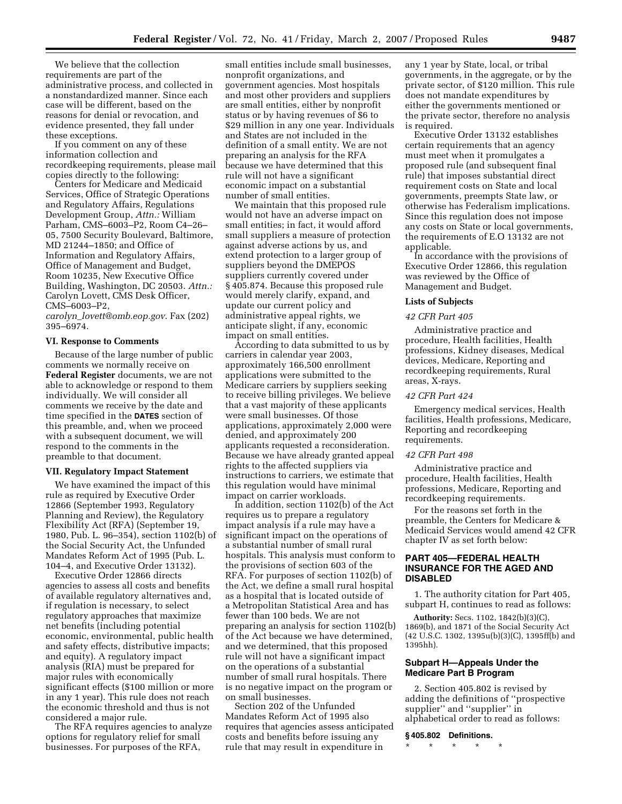We believe that the collection requirements are part of the administrative process, and collected in a nonstandardized manner. Since each case will be different, based on the reasons for denial or revocation, and evidence presented, they fall under these exceptions.

If you comment on any of these information collection and recordkeeping requirements, please mail copies directly to the following:

Centers for Medicare and Medicaid Services, Office of Strategic Operations and Regulatory Affairs, Regulations Development Group, *Attn.:* William Parham, CMS–6003–P2, Room C4–26– 05, 7500 Security Boulevard, Baltimore, MD 21244–1850; and Office of Information and Regulatory Affairs, Office of Management and Budget, Room 10235, New Executive Office Building, Washington, DC 20503. *Attn.:*  Carolyn Lovett, CMS Desk Officer, CMS–6003–P2,

*carolyn*\_*lovett@omb.eop.gov*. Fax (202) 395–6974.

#### **VI. Response to Comments**

Because of the large number of public comments we normally receive on **Federal Register** documents, we are not able to acknowledge or respond to them individually. We will consider all comments we receive by the date and time specified in the **DATES** section of this preamble, and, when we proceed with a subsequent document, we will respond to the comments in the preamble to that document.

### **VII. Regulatory Impact Statement**

We have examined the impact of this rule as required by Executive Order 12866 (September 1993, Regulatory Planning and Review), the Regulatory Flexibility Act (RFA) (September 19, 1980, Pub. L. 96–354), section 1102(b) of the Social Security Act, the Unfunded Mandates Reform Act of 1995 (Pub. L. 104–4, and Executive Order 13132).

Executive Order 12866 directs agencies to assess all costs and benefits of available regulatory alternatives and, if regulation is necessary, to select regulatory approaches that maximize net benefits (including potential economic, environmental, public health and safety effects, distributive impacts; and equity). A regulatory impact analysis (RIA) must be prepared for major rules with economically significant effects (\$100 million or more in any 1 year). This rule does not reach the economic threshold and thus is not considered a major rule.

The RFA requires agencies to analyze options for regulatory relief for small businesses. For purposes of the RFA,

small entities include small businesses, nonprofit organizations, and government agencies. Most hospitals and most other providers and suppliers are small entities, either by nonprofit status or by having revenues of \$6 to \$29 million in any one year. Individuals and States are not included in the definition of a small entity. We are not preparing an analysis for the RFA because we have determined that this rule will not have a significant economic impact on a substantial number of small entities.

We maintain that this proposed rule would not have an adverse impact on small entities; in fact, it would afford small suppliers a measure of protection against adverse actions by us, and extend protection to a larger group of suppliers beyond the DMEPOS suppliers currently covered under § 405.874. Because this proposed rule would merely clarify, expand, and update our current policy and administrative appeal rights, we anticipate slight, if any, economic impact on small entities.

According to data submitted to us by carriers in calendar year 2003, approximately 166,500 enrollment applications were submitted to the Medicare carriers by suppliers seeking to receive billing privileges. We believe that a vast majority of these applicants were small businesses. Of those applications, approximately 2,000 were denied, and approximately 200 applicants requested a reconsideration. Because we have already granted appeal rights to the affected suppliers via instructions to carriers, we estimate that this regulation would have minimal impact on carrier workloads.

In addition, section 1102(b) of the Act requires us to prepare a regulatory impact analysis if a rule may have a significant impact on the operations of a substantial number of small rural hospitals. This analysis must conform to the provisions of section 603 of the RFA. For purposes of section 1102(b) of the Act, we define a small rural hospital as a hospital that is located outside of a Metropolitan Statistical Area and has fewer than 100 beds. We are not preparing an analysis for section 1102(b) of the Act because we have determined, and we determined, that this proposed rule will not have a significant impact on the operations of a substantial number of small rural hospitals. There is no negative impact on the program or on small businesses.

Section 202 of the Unfunded Mandates Reform Act of 1995 also requires that agencies assess anticipated costs and benefits before issuing any rule that may result in expenditure in

any 1 year by State, local, or tribal governments, in the aggregate, or by the private sector, of \$120 million. This rule does not mandate expenditures by either the governments mentioned or the private sector, therefore no analysis is required.

Executive Order 13132 establishes certain requirements that an agency must meet when it promulgates a proposed rule (and subsequent final rule) that imposes substantial direct requirement costs on State and local governments, preempts State law, or otherwise has Federalism implications. Since this regulation does not impose any costs on State or local governments, the requirements of E.O 13132 are not applicable.

In accordance with the provisions of Executive Order 12866, this regulation was reviewed by the Office of Management and Budget.

## **Lists of Subjects**

## *42 CFR Part 405*

Administrative practice and procedure, Health facilities, Health professions, Kidney diseases, Medical devices, Medicare, Reporting and recordkeeping requirements, Rural areas, X-rays.

#### *42 CFR Part 424*

Emergency medical services, Health facilities, Health professions, Medicare, Reporting and recordkeeping requirements.

#### *42 CFR Part 498*

Administrative practice and procedure, Health facilities, Health professions, Medicare, Reporting and recordkeeping requirements.

For the reasons set forth in the preamble, the Centers for Medicare & Medicaid Services would amend 42 CFR chapter IV as set forth below:

## **PART 405—FEDERAL HEALTH INSURANCE FOR THE AGED AND DISABLED**

1. The authority citation for Part 405, subpart H, continues to read as follows:

**Authority:** Secs. 1102, 1842(b)(3)(C), 1869(b), and 1871 of the Social Security Act (42 U.S.C. 1302, 1395u(b)(3)(C), 1395ff(b) and 1395hh).

## **Subpart H—Appeals Under the Medicare Part B Program**

2. Section 405.802 is revised by adding the definitions of ''prospective supplier'' and ''supplier'' in alphabetical order to read as follows:

#### **§ 405.802 Definitions.**

\* \* \* \* \*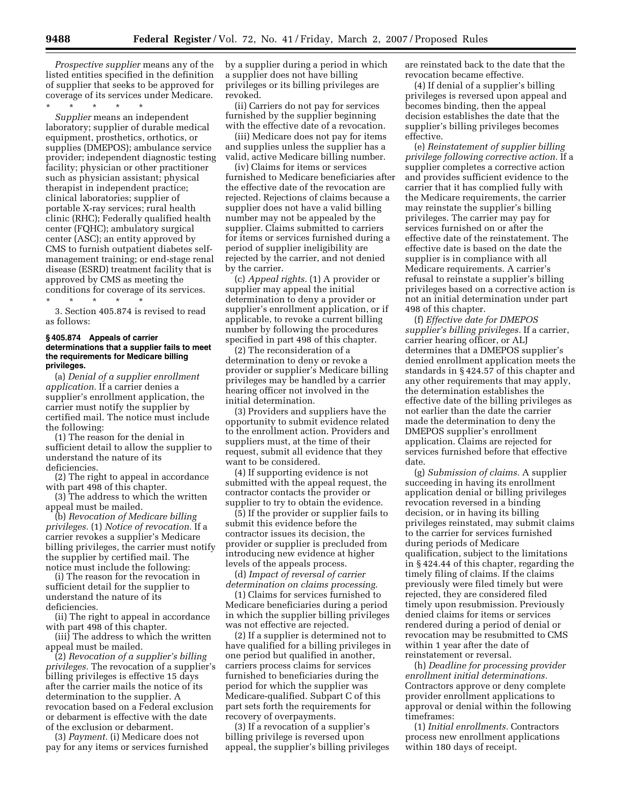*Prospective supplier* means any of the listed entities specified in the definition of supplier that seeks to be approved for coverage of its services under Medicare.

\* \* \* \* \*

*Supplier* means an independent laboratory; supplier of durable medical equipment, prosthetics, orthotics, or supplies (DMEPOS); ambulance service provider; independent diagnostic testing facility; physician or other practitioner such as physician assistant; physical therapist in independent practice; clinical laboratories; supplier of portable X-ray services; rural health clinic (RHC); Federally qualified health center (FQHC); ambulatory surgical center (ASC); an entity approved by CMS to furnish outpatient diabetes selfmanagement training; or end-stage renal disease (ESRD) treatment facility that is approved by CMS as meeting the conditions for coverage of its services.

\* \* \* \* \* 3. Section 405.874 is revised to read as follows:

#### **§ 405.874 Appeals of carrier determinations that a supplier fails to meet the requirements for Medicare billing privileges.**

(a) *Denial of a supplier enrollment application.* If a carrier denies a supplier's enrollment application, the carrier must notify the supplier by certified mail. The notice must include the following:

(1) The reason for the denial in sufficient detail to allow the supplier to understand the nature of its deficiencies.

(2) The right to appeal in accordance with part 498 of this chapter.

(3) The address to which the written appeal must be mailed.

(b) *Revocation of Medicare billing privileges.* (1) *Notice of revocation.* If a carrier revokes a supplier's Medicare billing privileges, the carrier must notify the supplier by certified mail. The notice must include the following:

(i) The reason for the revocation in sufficient detail for the supplier to understand the nature of its deficiencies.

(ii) The right to appeal in accordance with part 498 of this chapter.

(iii) The address to which the written appeal must be mailed.

(2) *Revocation of a supplier's billing privileges.* The revocation of a supplier's billing privileges is effective 15 days after the carrier mails the notice of its determination to the supplier. A revocation based on a Federal exclusion or debarment is effective with the date of the exclusion or debarment.

(3) *Payment.* (i) Medicare does not pay for any items or services furnished by a supplier during a period in which a supplier does not have billing privileges or its billing privileges are revoked.

(ii) Carriers do not pay for services furnished by the supplier beginning with the effective date of a revocation.

(iii) Medicare does not pay for items and supplies unless the supplier has a valid, active Medicare billing number.

(iv) Claims for items or services furnished to Medicare beneficiaries after the effective date of the revocation are rejected. Rejections of claims because a supplier does not have a valid billing number may not be appealed by the supplier. Claims submitted to carriers for items or services furnished during a period of supplier ineligibility are rejected by the carrier, and not denied by the carrier.

(c) *Appeal rights.* (1) A provider or supplier may appeal the initial determination to deny a provider or supplier's enrollment application, or if applicable, to revoke a current billing number by following the procedures specified in part 498 of this chapter.

(2) The reconsideration of a determination to deny or revoke a provider or supplier's Medicare billing privileges may be handled by a carrier hearing officer not involved in the initial determination.

(3) Providers and suppliers have the opportunity to submit evidence related to the enrollment action. Providers and suppliers must, at the time of their request, submit all evidence that they want to be considered.

(4) If supporting evidence is not submitted with the appeal request, the contractor contacts the provider or supplier to try to obtain the evidence.

(5) If the provider or supplier fails to submit this evidence before the contractor issues its decision, the provider or supplier is precluded from introducing new evidence at higher levels of the appeals process.

(d) *Impact of reversal of carrier determination on claims processing*.

(1) Claims for services furnished to Medicare beneficiaries during a period in which the supplier billing privileges was not effective are rejected.

(2) If a supplier is determined not to have qualified for a billing privileges in one period but qualified in another, carriers process claims for services furnished to beneficiaries during the period for which the supplier was Medicare-qualified. Subpart C of this part sets forth the requirements for recovery of overpayments.

(3) If a revocation of a supplier's billing privilege is reversed upon appeal, the supplier's billing privileges are reinstated back to the date that the revocation became effective.

(4) If denial of a supplier's billing privileges is reversed upon appeal and becomes binding, then the appeal decision establishes the date that the supplier's billing privileges becomes effective.

(e) *Reinstatement of supplier billing privilege following corrective action.* If a supplier completes a corrective action and provides sufficient evidence to the carrier that it has complied fully with the Medicare requirements, the carrier may reinstate the supplier's billing privileges. The carrier may pay for services furnished on or after the effective date of the reinstatement. The effective date is based on the date the supplier is in compliance with all Medicare requirements. A carrier's refusal to reinstate a supplier's billing privileges based on a corrective action is not an initial determination under part 498 of this chapter.

(f) *Effective date for DMEPOS supplier's billing privileges.* If a carrier, carrier hearing officer, or ALJ determines that a DMEPOS supplier's denied enrollment application meets the standards in § 424.57 of this chapter and any other requirements that may apply, the determination establishes the effective date of the billing privileges as not earlier than the date the carrier made the determination to deny the DMEPOS supplier's enrollment application. Claims are rejected for services furnished before that effective date.

(g) *Submission of claims.* A supplier succeeding in having its enrollment application denial or billing privileges revocation reversed in a binding decision, or in having its billing privileges reinstated, may submit claims to the carrier for services furnished during periods of Medicare qualification, subject to the limitations in § 424.44 of this chapter, regarding the timely filing of claims. If the claims previously were filed timely but were rejected, they are considered filed timely upon resubmission. Previously denied claims for items or services rendered during a period of denial or revocation may be resubmitted to CMS within 1 year after the date of reinstatement or reversal.

(h) *Deadline for processing provider enrollment initial determinations.*  Contractors approve or deny complete provider enrollment applications to approval or denial within the following timeframes:

(1) *Initial enrollments.* Contractors process new enrollment applications within 180 days of receipt.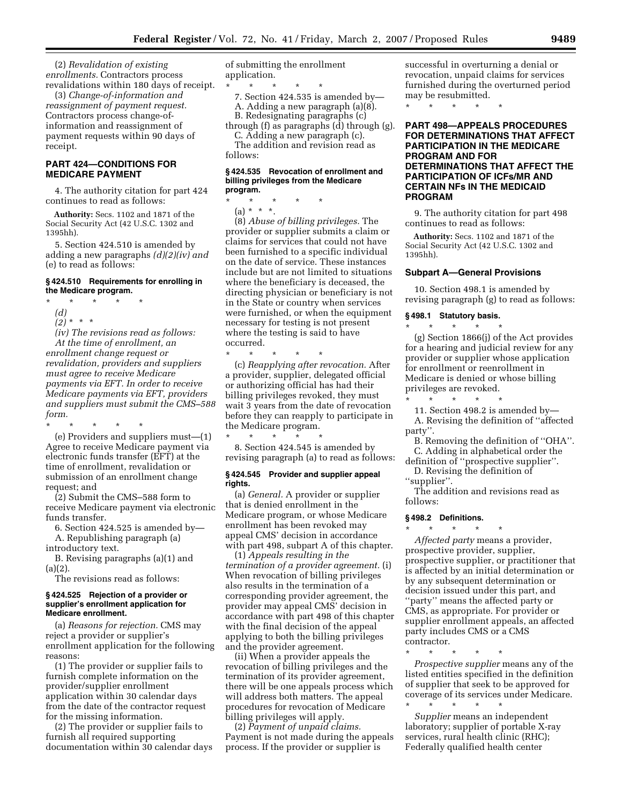(2) *Revalidation of existing enrollments.* Contractors process revalidations within 180 days of receipt.

(3) *Change-of-information and reassignment of payment request.*  Contractors process change-ofinformation and reassignment of payment requests within 90 days of receipt.

## **PART 424—CONDITIONS FOR MEDICARE PAYMENT**

4. The authority citation for part 424 continues to read as follows:

**Authority:** Secs. 1102 and 1871 of the Social Security Act (42 U.S.C. 1302 and 1395hh).

5. Section 424.510 is amended by adding a new paragraphs *(d)(2)(iv) and*  (e) to read as follows:

### **§ 424.510 Requirements for enrolling in the Medicare program.**

\* \* \* \* \*

- *(d)*
- *(2)* \* \* \*

*(iv) The revisions read as follows: At the time of enrollment, an enrollment change request or revalidation, providers and suppliers must agree to receive Medicare payments via EFT. In order to receive Medicare payments via EFT, providers and suppliers must submit the CMS–588 form.* 

\* \* \* \* \* (e) Providers and suppliers must—(1) Agree to receive Medicare payment via electronic funds transfer (EFT) at the time of enrollment, revalidation or submission of an enrollment change request; and

(2) Submit the CMS–588 form to receive Medicare payment via electronic funds transfer.

6. Section 424.525 is amended by— A. Republishing paragraph (a)

introductory text.

B. Revising paragraphs (a)(1) and (a)(2).

The revisions read as follows:

#### **§ 424.525 Rejection of a provider or supplier's enrollment application for Medicare enrollment.**

(a) *Reasons for rejection.* CMS may reject a provider or supplier's enrollment application for the following reasons:

(1) The provider or supplier fails to furnish complete information on the provider/supplier enrollment application within 30 calendar days from the date of the contractor request for the missing information.

(2) The provider or supplier fails to furnish all required supporting documentation within 30 calendar days of submitting the enrollment application.

\* \* \* \* \* 7. Section 424.535 is amended by— A. Adding a new paragraph (a)(8).

B. Redesignating paragraphs (c) through (f) as paragraphs (d) through (g).

C. Adding a new paragraph (c). The addition and revision read as follows:

### **§ 424.535 Revocation of enrollment and billing privileges from the Medicare program.**

\* \* \* \* \*  $(a) * * *$ .

(8) *Abuse of billing privileges.* The provider or supplier submits a claim or claims for services that could not have been furnished to a specific individual on the date of service. These instances include but are not limited to situations where the beneficiary is deceased, the directing physician or beneficiary is not in the State or country when services were furnished, or when the equipment necessary for testing is not present where the testing is said to have occurred.

\* \* \* \* \* (c) *Reapplying after revocation.* After a provider, supplier, delegated official or authorizing official has had their billing privileges revoked, they must wait 3 years from the date of revocation before they can reapply to participate in the Medicare program. \* \* \* \* \*

8. Section 424.545 is amended by revising paragraph (a) to read as follows:

#### **§ 424.545 Provider and supplier appeal rights.**

(a) *General.* A provider or supplier that is denied enrollment in the Medicare program, or whose Medicare enrollment has been revoked may appeal CMS' decision in accordance with part 498, subpart A of this chapter.

(1) *Appeals resulting in the termination of a provider agreement.* (i) When revocation of billing privileges also results in the termination of a corresponding provider agreement, the provider may appeal CMS' decision in accordance with part 498 of this chapter with the final decision of the appeal applying to both the billing privileges and the provider agreement.

(ii) When a provider appeals the revocation of billing privileges and the termination of its provider agreement, there will be one appeals process which will address both matters. The appeal procedures for revocation of Medicare billing privileges will apply.

(2) *Payment of unpaid claims.*  Payment is not made during the appeals process. If the provider or supplier is

successful in overturning a denial or revocation, unpaid claims for services furnished during the overturned period may be resubmitted.

\* \* \* \* \*

## **PART 498—APPEALS PROCEDURES FOR DETERMINATIONS THAT AFFECT PARTICIPATION IN THE MEDICARE PROGRAM AND FOR DETERMINATIONS THAT AFFECT THE PARTICIPATION OF ICFs/MR AND CERTAIN NFs IN THE MEDICAID PROGRAM**

9. The authority citation for part 498 continues to read as follows:

**Authority:** Secs. 1102 and 1871 of the Social Security Act (42 U.S.C. 1302 and 1395hh).

## **Subpart A—General Provisions**

10. Section 498.1 is amended by revising paragraph (g) to read as follows:

## **§ 498.1 Statutory basis.**

\* \* \* \* \*

(g) Section 1866(j) of the Act provides for a hearing and judicial review for any provider or supplier whose application for enrollment or reenrollment in Medicare is denied or whose billing privileges are revoked.

\* \* \* \* \* 11. Section 498.2 is amended by— A. Revising the definition of ''affected party''.

B. Removing the definition of ''OHA''. C. Adding in alphabetical order the

definition of ''prospective supplier''. D. Revising the definition of

''supplier''.

The addition and revisions read as follows:

### **§ 498.2 Definitions.**

\* \* \* \* \* *Affected party* means a provider, prospective provider, supplier, prospective supplier, or practitioner that is affected by an initial determination or by any subsequent determination or decision issued under this part, and ''party'' means the affected party or CMS, as appropriate. For provider or supplier enrollment appeals, an affected party includes CMS or a CMS contractor.

\* \* \* \* \* *Prospective supplier* means any of the listed entities specified in the definition of supplier that seek to be approved for coverage of its services under Medicare.

\* \* \* \* \* *Supplier* means an independent laboratory; supplier of portable X-ray services, rural health clinic (RHC); Federally qualified health center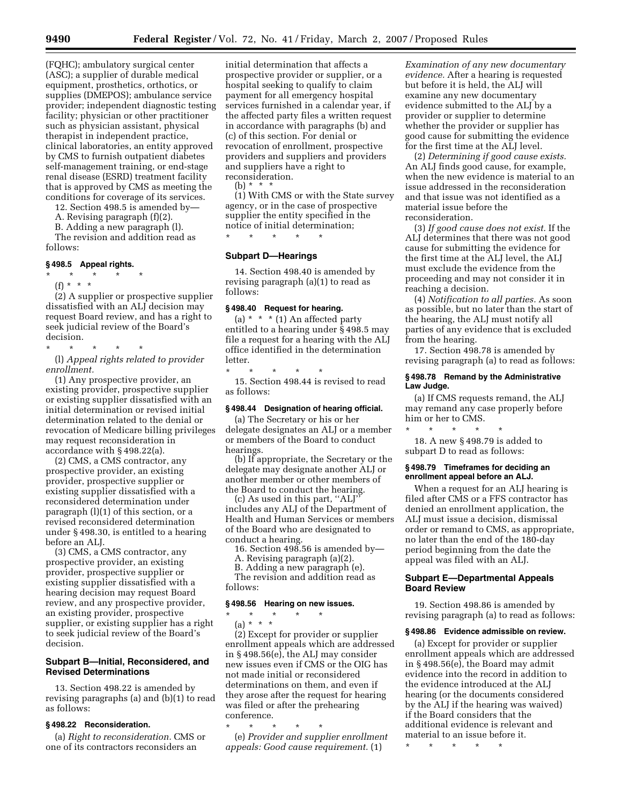(FQHC); ambulatory surgical center (ASC); a supplier of durable medical equipment, prosthetics, orthotics, or supplies (DMEPOS); ambulance service provider; independent diagnostic testing facility; physician or other practitioner such as physician assistant, physical therapist in independent practice, clinical laboratories, an entity approved by CMS to furnish outpatient diabetes self-management training, or end-stage renal disease (ESRD) treatment facility that is approved by CMS as meeting the conditions for coverage of its services.

12. Section 498.5 is amended by—

A. Revising paragraph (f)(2).

B. Adding a new paragraph (l).

The revision and addition read as follows:

#### **§ 498.5 Appeal rights.**

\* \* \* \* \* (f) \* \* \*

(2) A supplier or prospective supplier dissatisfied with an ALJ decision may request Board review, and has a right to seek judicial review of the Board's decision.

\* \* \* \* \*

(l) *Appeal rights related to provider enrollment.* 

(1) Any prospective provider, an existing provider, prospective supplier or existing supplier dissatisfied with an initial determination or revised initial determination related to the denial or revocation of Medicare billing privileges may request reconsideration in accordance with § 498.22(a).

(2) CMS, a CMS contractor, any prospective provider, an existing provider, prospective supplier or existing supplier dissatisfied with a reconsidered determination under paragraph (l)(1) of this section, or a revised reconsidered determination under § 498.30, is entitled to a hearing before an ALJ.

(3) CMS, a CMS contractor, any prospective provider, an existing provider, prospective supplier or existing supplier dissatisfied with a hearing decision may request Board review, and any prospective provider, an existing provider, prospective supplier, or existing supplier has a right to seek judicial review of the Board's decision.

## **Subpart B—Initial, Reconsidered, and Revised Determinations**

13. Section 498.22 is amended by revising paragraphs (a) and (b)(1) to read as follows:

### **§ 498.22 Reconsideration.**

(a) *Right to reconsideration.* CMS or one of its contractors reconsiders an

initial determination that affects a prospective provider or supplier, or a hospital seeking to qualify to claim payment for all emergency hospital services furnished in a calendar year, if the affected party files a written request in accordance with paragraphs (b) and (c) of this section. For denial or revocation of enrollment, prospective providers and suppliers and providers and suppliers have a right to reconsideration.

(b)  $* * * *$ 

(1) With CMS or with the State survey agency, or in the case of prospective supplier the entity specified in the notice of initial determination; \* \* \* \* \*

# **Subpart D—Hearings**

14. Section 498.40 is amended by revising paragraph (a)(1) to read as follows:

## **§ 498.40 Request for hearing.**

(a)  $* * * (1)$  An affected party entitled to a hearing under § 498.5 may file a request for a hearing with the ALJ office identified in the determination letter.

\* \* \* \* \* 15. Section 498.44 is revised to read as follows:

#### **§ 498.44 Designation of hearing official.**

(a) The Secretary or his or her delegate designates an ALJ or a member or members of the Board to conduct hearings.

(b) If appropriate, the Secretary or the delegate may designate another ALJ or another member or other members of the Board to conduct the hearing.

(c) As used in this part, ''ALJ'' includes any ALJ of the Department of Health and Human Services or members of the Board who are designated to conduct a hearing.

16. Section 498.56 is amended by—

- A. Revising paragraph (a)(2).
- B. Adding a new paragraph (e).

The revision and addition read as follows:

#### **§ 498.56 Hearing on new issues.**

\* \* \* \* \* (a) \* \* \*

(2) Except for provider or supplier enrollment appeals which are addressed in § 498.56(e), the ALJ may consider new issues even if CMS or the OIG has not made initial or reconsidered determinations on them, and even if they arose after the request for hearing was filed or after the prehearing conference.

\* \* \* \* \*

(e) *Provider and supplier enrollment appeals: Good cause requirement.* (1)

*Examination of any new documentary evidence.* After a hearing is requested but before it is held, the ALJ will examine any new documentary evidence submitted to the ALJ by a provider or supplier to determine whether the provider or supplier has good cause for submitting the evidence for the first time at the ALJ level.

(2) *Determining if good cause exists.*  An ALJ finds good cause, for example, when the new evidence is material to an issue addressed in the reconsideration and that issue was not identified as a material issue before the reconsideration.

(3) *If good cause does not exist.* If the ALJ determines that there was not good cause for submitting the evidence for the first time at the ALJ level, the ALJ must exclude the evidence from the proceeding and may not consider it in reaching a decision.

(4) *Notification to all parties.* As soon as possible, but no later than the start of the hearing, the ALJ must notify all parties of any evidence that is excluded from the hearing.

17. Section 498.78 is amended by revising paragraph (a) to read as follows:

## **§ 498.78 Remand by the Administrative Law Judge.**

(a) If CMS requests remand, the ALJ may remand any case properly before him or her to CMS.

\* \* \* \* \* 18. A new § 498.79 is added to subpart D to read as follows:

## **§ 498.79 Timeframes for deciding an enrollment appeal before an ALJ.**

When a request for an ALJ hearing is filed after CMS or a FFS contractor has denied an enrollment application, the ALJ must issue a decision, dismissal order or remand to CMS, as appropriate, no later than the end of the 180-day period beginning from the date the appeal was filed with an ALJ.

## **Subpart E—Departmental Appeals Board Review**

19. Section 498.86 is amended by revising paragraph (a) to read as follows:

#### **§ 498.86 Evidence admissible on review.**

(a) Except for provider or supplier enrollment appeals which are addressed in § 498.56(e), the Board may admit evidence into the record in addition to the evidence introduced at the ALJ hearing (or the documents considered by the ALJ if the hearing was waived) if the Board considers that the additional evidence is relevant and material to an issue before it.

\* \* \* \* \*